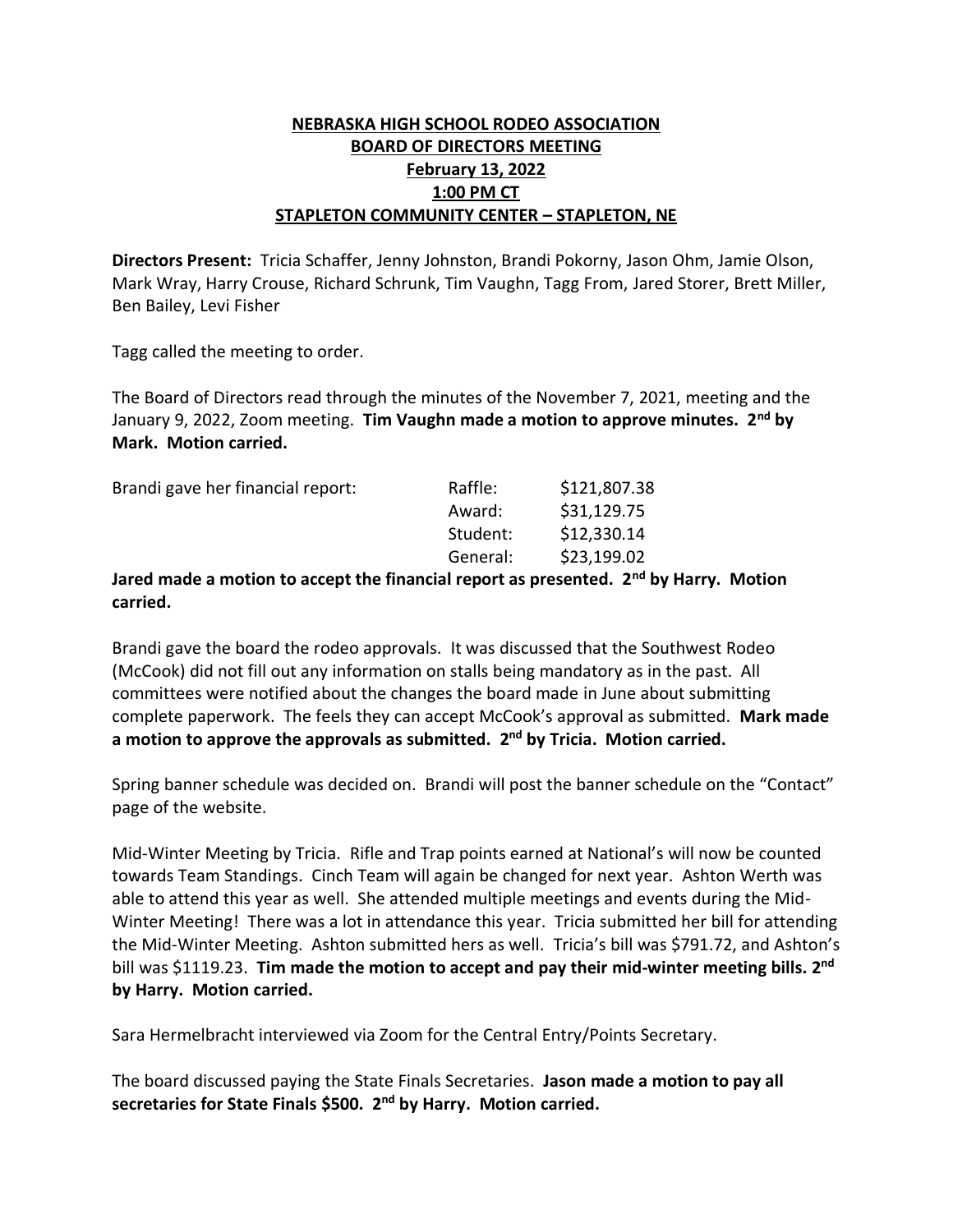## **NEBRASKA HIGH SCHOOL RODEO ASSOCIATION BOARD OF DIRECTORS MEETING February 13, 2022 1:00 PM CT STAPLETON COMMUNITY CENTER – STAPLETON, NE**

**Directors Present:** Tricia Schaffer, Jenny Johnston, Brandi Pokorny, Jason Ohm, Jamie Olson, Mark Wray, Harry Crouse, Richard Schrunk, Tim Vaughn, Tagg From, Jared Storer, Brett Miller, Ben Bailey, Levi Fisher

Tagg called the meeting to order.

The Board of Directors read through the minutes of the November 7, 2021, meeting and the January 9, 2022, Zoom meeting. **Tim Vaughn made a motion to approve minutes. 2nd by Mark. Motion carried.**

| Brandi gave her financial report:                               | Raffle:  | \$121,807.38                     |
|-----------------------------------------------------------------|----------|----------------------------------|
|                                                                 | Award:   | \$31,129.75                      |
|                                                                 | Student: | \$12,330.14                      |
|                                                                 | General: | \$23,199.02                      |
| lared made a motion to accont the financial report as presented |          | 2 <sub>nd</sub> h <sub>1</sub> L |

**Jared made a motion to accept the financial report as presented. 2nd by Harry. Motion carried.**

Brandi gave the board the rodeo approvals. It was discussed that the Southwest Rodeo (McCook) did not fill out any information on stalls being mandatory as in the past. All committees were notified about the changes the board made in June about submitting complete paperwork. The feels they can accept McCook's approval as submitted. **Mark made a motion to approve the approvals as submitted. 2 nd by Tricia. Motion carried.**

Spring banner schedule was decided on. Brandi will post the banner schedule on the "Contact" page of the website.

Mid-Winter Meeting by Tricia. Rifle and Trap points earned at National's will now be counted towards Team Standings. Cinch Team will again be changed for next year. Ashton Werth was able to attend this year as well. She attended multiple meetings and events during the Mid-Winter Meeting! There was a lot in attendance this year. Tricia submitted her bill for attending the Mid-Winter Meeting. Ashton submitted hers as well. Tricia's bill was \$791.72, and Ashton's bill was \$1119.23. **Tim made the motion to accept and pay their mid-winter meeting bills. 2 nd by Harry. Motion carried.**

Sara Hermelbracht interviewed via Zoom for the Central Entry/Points Secretary.

The board discussed paying the State Finals Secretaries. **Jason made a motion to pay all secretaries for State Finals \$500. 2nd by Harry. Motion carried.**